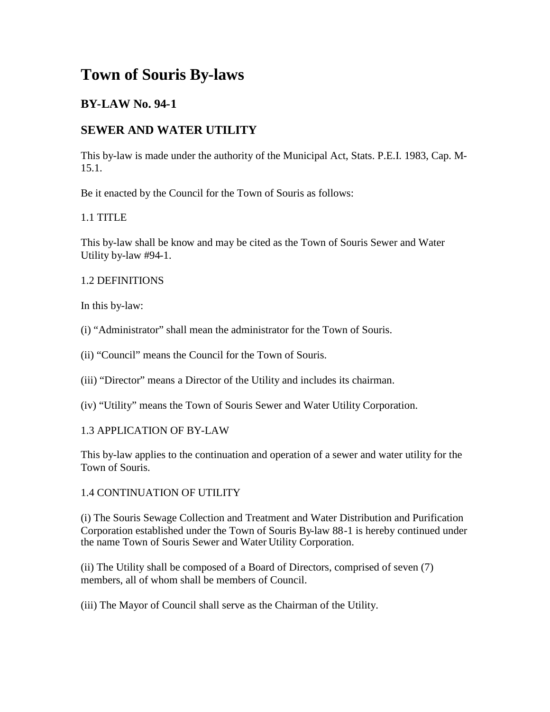# **Town of Souris By-laws**

## **BY-LAW No. 94-1**

## **SEWER AND WATER UTILITY**

This by-law is made under the authority of the Municipal Act, Stats. P.E.I. 1983, Cap. M-15.1.

Be it enacted by the Council for the Town of Souris as follows:

### 1.1 TITLE

This by-law shall be know and may be cited as the Town of Souris Sewer and Water Utility by-law #94-1.

#### 1.2 DEFINITIONS

In this by-law:

- (i) "Administrator" shall mean the administrator for the Town of Souris.
- (ii) "Council" means the Council for the Town of Souris.
- (iii) "Director" means a Director of the Utility and includes its chairman.
- (iv) "Utility" means the Town of Souris Sewer and Water Utility Corporation.

#### 1.3 APPLICATION OF BY-LAW

This by-law applies to the continuation and operation of a sewer and water utility for the Town of Souris.

#### 1.4 CONTINUATION OF UTILITY

(i) The Souris Sewage Collection and Treatment and Water Distribution and Purification Corporation established under the Town of Souris By-law 88-1 is hereby continued under the name Town of Souris Sewer and Water Utility Corporation.

(ii) The Utility shall be composed of a Board of Directors, comprised of seven (7) members, all of whom shall be members of Council.

(iii) The Mayor of Council shall serve as the Chairman of the Utility.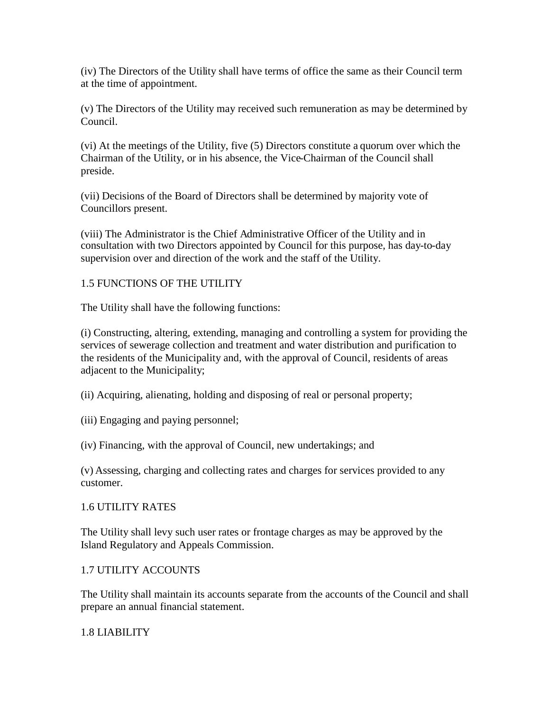(iv) The Directors of the Utility shall have terms of office the same as their Council term at the time of appointment.

(v) The Directors of the Utility may received such remuneration as may be determined by Council.

(vi) At the meetings of the Utility, five (5) Directors constitute a quorum over which the Chairman of the Utility, or in his absence, the Vice-Chairman of the Council shall preside.

(vii) Decisions of the Board of Directors shall be determined by majority vote of Councillors present.

(viii) The Administrator is the Chief Administrative Officer of the Utility and in consultation with two Directors appointed by Council for this purpose, has day-to-day supervision over and direction of the work and the staff of the Utility.

#### 1.5 FUNCTIONS OF THE UTILITY

The Utility shall have the following functions:

(i) Constructing, altering, extending, managing and controlling a system for providing the services of sewerage collection and treatment and water distribution and purification to the residents of the Municipality and, with the approval of Council, residents of areas adjacent to the Municipality;

- (ii) Acquiring, alienating, holding and disposing of real or personal property;
- (iii) Engaging and paying personnel;

(iv) Financing, with the approval of Council, new undertakings; and

(v) Assessing, charging and collecting rates and charges for services provided to any customer.

#### 1.6 UTILITY RATES

The Utility shall levy such user rates or frontage charges as may be approved by the Island Regulatory and Appeals Commission.

#### 1.7 UTILITY ACCOUNTS

The Utility shall maintain its accounts separate from the accounts of the Council and shall prepare an annual financial statement.

#### 1.8 LIABILITY